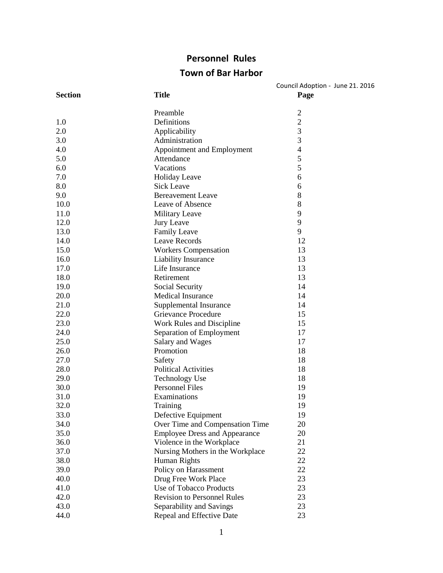# **Personnel Rules**

# **Town of Bar Harbor**

| <b>Section</b> | <b>Title</b>                         | Council Adoption - June 21. 2016<br>Page |
|----------------|--------------------------------------|------------------------------------------|
|                | Preamble                             | $\overline{c}$                           |
| 1.0            | Definitions                          | $\mathbf{2}$                             |
| 2.0            | Applicability                        | $\mathfrak{Z}$                           |
| 3.0            | Administration                       | 3                                        |
| 4.0            | Appointment and Employment           | $\overline{4}$                           |
| 5.0            | Attendance                           | 5                                        |
| 6.0            | Vacations                            | 5                                        |
| 7.0            | Holiday Leave                        | 6                                        |
| 8.0            | <b>Sick Leave</b>                    | 6                                        |
| 9.0            | <b>Bereavement Leave</b>             | 8                                        |
| 10.0           | Leave of Absence                     | 8                                        |
| 11.0           | Military Leave                       | 9                                        |
| 12.0           | Jury Leave                           | 9                                        |
| 13.0           | <b>Family Leave</b>                  | 9                                        |
| 14.0           | Leave Records                        | 12                                       |
| 15.0           | <b>Workers Compensation</b>          | 13                                       |
| 16.0           | Liability Insurance                  | 13                                       |
| 17.0           | Life Insurance                       | 13                                       |
| 18.0           | Retirement                           | 13                                       |
| 19.0           | Social Security                      | 14                                       |
| 20.0           | <b>Medical Insurance</b>             | 14                                       |
| 21.0           | Supplemental Insurance               | 14                                       |
| 22.0           | Grievance Procedure                  | 15                                       |
| 23.0           | Work Rules and Discipline            | 15                                       |
| 24.0           | Separation of Employment             | 17                                       |
| 25.0           | Salary and Wages                     | 17                                       |
| 26.0           | Promotion                            | 18                                       |
| 27.0           | Safety                               | 18                                       |
| 28.0           | <b>Political Activities</b>          | 18                                       |
| 29.0           | <b>Technology Use</b>                | 18                                       |
| 30.0           | <b>Personnel Files</b>               | 19                                       |
| 31.0           | Examinations                         | 19                                       |
| 32.0           | Training                             | 19                                       |
| 33.0           | Defective Equipment                  | 19                                       |
| 34.0           | Over Time and Compensation Time      | 20                                       |
| 35.0           | <b>Employee Dress and Appearance</b> | 20                                       |
| 36.0           | Violence in the Workplace            | 21                                       |
| 37.0           | Nursing Mothers in the Workplace     | 22                                       |
| 38.0           | Human Rights                         | 22                                       |
| 39.0           | Policy on Harassment                 | 22                                       |
| 40.0           | Drug Free Work Place                 | 23                                       |
| 41.0           | Use of Tobacco Products              | 23                                       |
| 42.0           | <b>Revision to Personnel Rules</b>   | 23                                       |
| 43.0           | Separability and Savings             | 23                                       |
| 44.0           | Repeal and Effective Date            | 23                                       |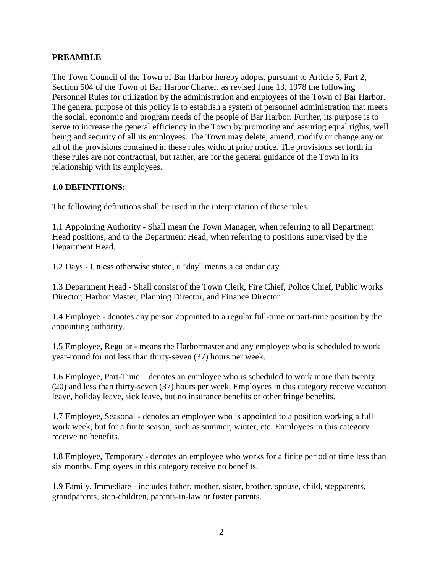#### **PREAMBLE**

The Town Council of the Town of Bar Harbor hereby adopts, pursuant to Article 5, Part 2, Section 504 of the Town of Bar Harbor Charter, as revised June 13, 1978 the following Personnel Rules for utilization by the administration and employees of the Town of Bar Harbor. The general purpose of this policy is to establish a system of personnel administration that meets the social, economic and program needs of the people of Bar Harbor. Further, its purpose is to serve to increase the general efficiency in the Town by promoting and assuring equal rights, well being and security of all its employees. The Town may delete, amend, modify or change any or all of the provisions contained in these rules without prior notice. The provisions set forth in these rules are not contractual, but rather, are for the general guidance of the Town in its relationship with its employees.

#### **1.0 DEFINITIONS:**

The following definitions shall be used in the interpretation of these rules.

1.1 Appointing Authority - Shall mean the Town Manager, when referring to all Department Head positions, and to the Department Head, when referring to positions supervised by the Department Head.

1.2 Days - Unless otherwise stated, a "day" means a calendar day.

1.3 Department Head - Shall consist of the Town Clerk, Fire Chief, Police Chief, Public Works Director, Harbor Master, Planning Director, and Finance Director.

1.4 Employee - denotes any person appointed to a regular full-time or part-time position by the appointing authority.

1.5 Employee, Regular - means the Harbormaster and any employee who is scheduled to work year-round for not less than thirty-seven (37) hours per week.

1.6 Employee, Part-Time – denotes an employee who is scheduled to work more than twenty (20) and less than thirty-seven (37) hours per week. Employees in this category receive vacation leave, holiday leave, sick leave, but no insurance benefits or other fringe benefits.

1.7 Employee, Seasonal - denotes an employee who is appointed to a position working a full work week, but for a finite season, such as summer, winter, etc. Employees in this category receive no benefits.

1.8 Employee, Temporary - denotes an employee who works for a finite period of time less than six months. Employees in this category receive no benefits.

1.9 Family, Immediate - includes father, mother, sister, brother, spouse, child, stepparents, grandparents, step-children, parents-in-law or foster parents.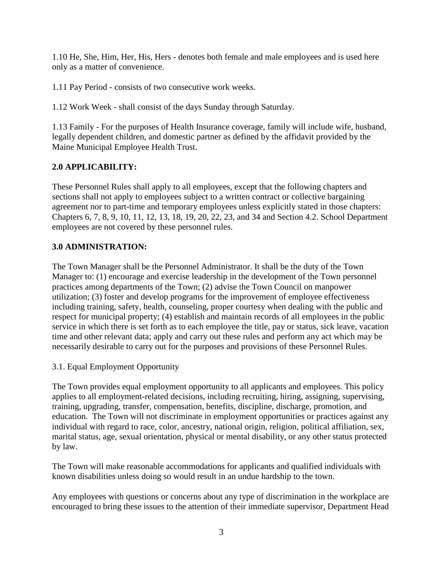1.10 He, She, Him, Her, His, Hers - denotes both female and male employees and is used here only as a matter of convenience.

1.11 Pay Period - consists of two consecutive work weeks.

1.12 Work Week - shall consist of the days Sunday through Saturday.

1.13 Family - For the purposes of Health Insurance coverage, family will include wife, husband, legally dependent children, and domestic partner as defined by the affidavit provided by the Maine Municipal Employee Health Trust.

# **2.0 APPLICABILITY:**

These Personnel Rules shall apply to all employees, except that the following chapters and sections shall not apply to employees subject to a written contract or collective bargaining agreement nor to part-time and temporary employees unless explicitly stated in those chapters: Chapters 6, 7, 8, 9, 10, 11, 12, 13, 18, 19, 20, 22, 23, and 34 and Section 4.2. School Department employees are not covered by these personnel rules.

# **3.0 ADMINISTRATION:**

The Town Manager shall be the Personnel Administrator. It shall be the duty of the Town Manager to: (1) encourage and exercise leadership in the development of the Town personnel practices among departments of the Town; (2) advise the Town Council on manpower utilization; (3) foster and develop programs for the improvement of employee effectiveness including training, safety, health, counseling, proper courtesy when dealing with the public and respect for municipal property; (4) establish and maintain records of all employees in the public service in which there is set forth as to each employee the title, pay or status, sick leave, vacation time and other relevant data; apply and carry out these rules and perform any act which may be necessarily desirable to carry out for the purposes and provisions of these Personnel Rules.

# 3.1. Equal Employment Opportunity

The Town provides equal employment opportunity to all applicants and employees. This policy applies to all employment-related decisions, including recruiting, hiring, assigning, supervising, training, upgrading, transfer, compensation, benefits, discipline, discharge, promotion, and education. The Town will not discriminate in employment opportunities or practices against any individual with regard to race, color, ancestry, national origin, religion, political affiliation, sex, marital status, age, sexual orientation, physical or mental disability, or any other status protected by law.

The Town will make reasonable accommodations for applicants and qualified individuals with known disabilities unless doing so would result in an undue hardship to the town.

Any employees with questions or concerns about any type of discrimination in the workplace are encouraged to bring these issues to the attention of their immediate supervisor, Department Head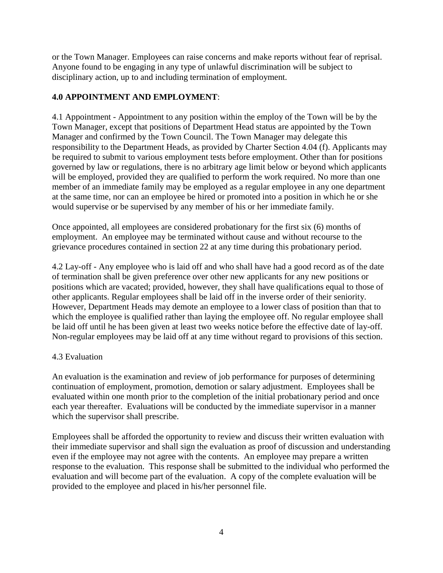or the Town Manager. Employees can raise concerns and make reports without fear of reprisal. Anyone found to be engaging in any type of unlawful discrimination will be subject to disciplinary action, up to and including termination of employment.

# **4.0 APPOINTMENT AND EMPLOYMENT**:

4.1 Appointment - Appointment to any position within the employ of the Town will be by the Town Manager, except that positions of Department Head status are appointed by the Town Manager and confirmed by the Town Council. The Town Manager may delegate this responsibility to the Department Heads, as provided by Charter Section 4.04 (f). Applicants may be required to submit to various employment tests before employment. Other than for positions governed by law or regulations, there is no arbitrary age limit below or beyond which applicants will be employed, provided they are qualified to perform the work required. No more than one member of an immediate family may be employed as a regular employee in any one department at the same time, nor can an employee be hired or promoted into a position in which he or she would supervise or be supervised by any member of his or her immediate family.

Once appointed, all employees are considered probationary for the first six (6) months of employment. An employee may be terminated without cause and without recourse to the grievance procedures contained in section 22 at any time during this probationary period.

4.2 Lay-off - Any employee who is laid off and who shall have had a good record as of the date of termination shall be given preference over other new applicants for any new positions or positions which are vacated; provided, however, they shall have qualifications equal to those of other applicants. Regular employees shall be laid off in the inverse order of their seniority. However, Department Heads may demote an employee to a lower class of position than that to which the employee is qualified rather than laying the employee off. No regular employee shall be laid off until he has been given at least two weeks notice before the effective date of lay-off. Non-regular employees may be laid off at any time without regard to provisions of this section.

# 4.3 Evaluation

An evaluation is the examination and review of job performance for purposes of determining continuation of employment, promotion, demotion or salary adjustment. Employees shall be evaluated within one month prior to the completion of the initial probationary period and once each year thereafter. Evaluations will be conducted by the immediate supervisor in a manner which the supervisor shall prescribe.

Employees shall be afforded the opportunity to review and discuss their written evaluation with their immediate supervisor and shall sign the evaluation as proof of discussion and understanding even if the employee may not agree with the contents. An employee may prepare a written response to the evaluation. This response shall be submitted to the individual who performed the evaluation and will become part of the evaluation. A copy of the complete evaluation will be provided to the employee and placed in his/her personnel file.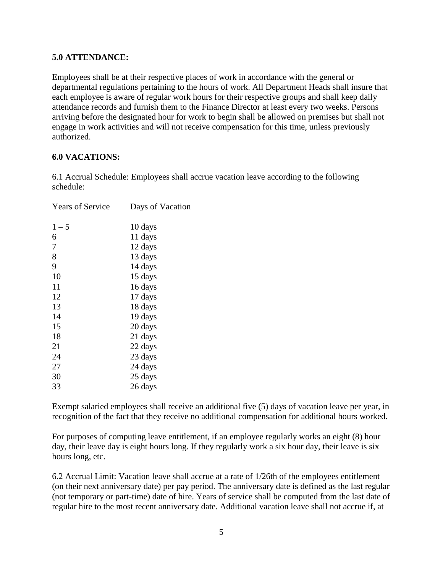#### **5.0 ATTENDANCE:**

Employees shall be at their respective places of work in accordance with the general or departmental regulations pertaining to the hours of work. All Department Heads shall insure that each employee is aware of regular work hours for their respective groups and shall keep daily attendance records and furnish them to the Finance Director at least every two weeks. Persons arriving before the designated hour for work to begin shall be allowed on premises but shall not engage in work activities and will not receive compensation for this time, unless previously authorized.

#### **6.0 VACATIONS:**

6.1 Accrual Schedule: Employees shall accrue vacation leave according to the following schedule:

| <b>Years of Service</b> | Days of Vacation |
|-------------------------|------------------|
|                         |                  |
| $1 - 5$                 | 10 days          |
| 6                       | 11 days          |
| 7                       | 12 days          |
| 8                       | 13 days          |
| 9                       | 14 days          |
| 10                      | 15 days          |
| 11                      | 16 days          |
| 12                      | 17 days          |
| 13                      | 18 days          |
| 14                      | 19 days          |
| 15                      | 20 days          |
| 18                      | 21 days          |
| 21                      | 22 days          |
| 24                      | 23 days          |
| 27                      | 24 days          |
| 30                      | 25 days          |
| 33                      | 26 days          |
|                         |                  |

Exempt salaried employees shall receive an additional five (5) days of vacation leave per year, in recognition of the fact that they receive no additional compensation for additional hours worked.

For purposes of computing leave entitlement, if an employee regularly works an eight (8) hour day, their leave day is eight hours long. If they regularly work a six hour day, their leave is six hours long, etc.

6.2 Accrual Limit: Vacation leave shall accrue at a rate of 1/26th of the employees entitlement (on their next anniversary date) per pay period. The anniversary date is defined as the last regular (not temporary or part-time) date of hire. Years of service shall be computed from the last date of regular hire to the most recent anniversary date. Additional vacation leave shall not accrue if, at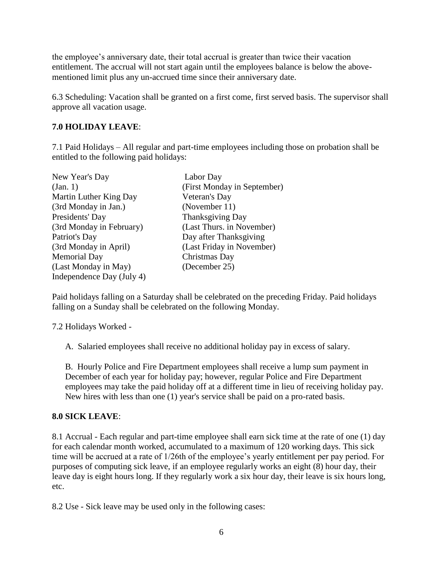the employee's anniversary date, their total accrual is greater than twice their vacation entitlement. The accrual will not start again until the employees balance is below the abovementioned limit plus any un-accrued time since their anniversary date.

6.3 Scheduling: Vacation shall be granted on a first come, first served basis. The supervisor shall approve all vacation usage.

# **7.0 HOLIDAY LEAVE**:

7.1 Paid Holidays – All regular and part-time employees including those on probation shall be entitled to the following paid holidays:

| New Year's Day            | Labor Day                   |
|---------------------------|-----------------------------|
| (Jan. 1)                  | (First Monday in September) |
| Martin Luther King Day    | Veteran's Day               |
| (3rd Monday in Jan.)      | (November 11)               |
| Presidents' Day           | Thanksgiving Day            |
| (3rd Monday in February)  | (Last Thurs. in November)   |
| Patriot's Day             | Day after Thanksgiving      |
| (3rd Monday in April)     | (Last Friday in November)   |
| <b>Memorial Day</b>       | Christmas Day               |
| (Last Monday in May)      | (December 25)               |
| Independence Day (July 4) |                             |

Paid holidays falling on a Saturday shall be celebrated on the preceding Friday. Paid holidays falling on a Sunday shall be celebrated on the following Monday.

7.2 Holidays Worked -

A. Salaried employees shall receive no additional holiday pay in excess of salary.

B. Hourly Police and Fire Department employees shall receive a lump sum payment in December of each year for holiday pay; however, regular Police and Fire Department employees may take the paid holiday off at a different time in lieu of receiving holiday pay. New hires with less than one (1) year's service shall be paid on a pro-rated basis.

# **8.0 SICK LEAVE**:

8.1 Accrual - Each regular and part-time employee shall earn sick time at the rate of one (1) day for each calendar month worked, accumulated to a maximum of 120 working days. This sick time will be accrued at a rate of 1/26th of the employee's yearly entitlement per pay period. For purposes of computing sick leave, if an employee regularly works an eight (8) hour day, their leave day is eight hours long. If they regularly work a six hour day, their leave is six hours long, etc.

8.2 Use - Sick leave may be used only in the following cases: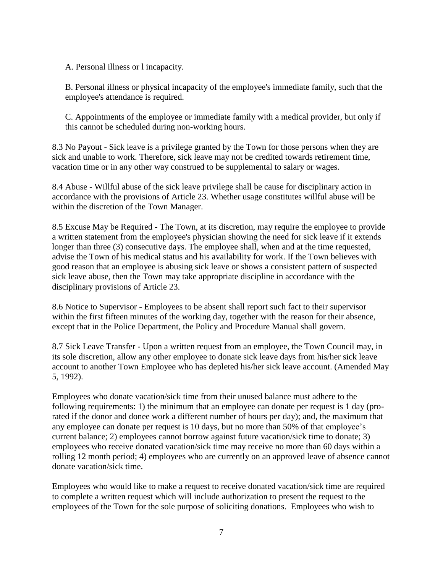A. Personal illness or l incapacity.

B. Personal illness or physical incapacity of the employee's immediate family, such that the employee's attendance is required.

C. Appointments of the employee or immediate family with a medical provider, but only if this cannot be scheduled during non-working hours.

8.3 No Payout - Sick leave is a privilege granted by the Town for those persons when they are sick and unable to work. Therefore, sick leave may not be credited towards retirement time, vacation time or in any other way construed to be supplemental to salary or wages.

8.4 Abuse - Willful abuse of the sick leave privilege shall be cause for disciplinary action in accordance with the provisions of Article 23. Whether usage constitutes willful abuse will be within the discretion of the Town Manager.

8.5 Excuse May be Required - The Town, at its discretion, may require the employee to provide a written statement from the employee's physician showing the need for sick leave if it extends longer than three (3) consecutive days. The employee shall, when and at the time requested, advise the Town of his medical status and his availability for work. If the Town believes with good reason that an employee is abusing sick leave or shows a consistent pattern of suspected sick leave abuse, then the Town may take appropriate discipline in accordance with the disciplinary provisions of Article 23.

8.6 Notice to Supervisor - Employees to be absent shall report such fact to their supervisor within the first fifteen minutes of the working day, together with the reason for their absence, except that in the Police Department, the Policy and Procedure Manual shall govern.

8.7 Sick Leave Transfer - Upon a written request from an employee, the Town Council may, in its sole discretion, allow any other employee to donate sick leave days from his/her sick leave account to another Town Employee who has depleted his/her sick leave account. (Amended May 5, 1992).

Employees who donate vacation/sick time from their unused balance must adhere to the following requirements: 1) the minimum that an employee can donate per request is 1 day (prorated if the donor and donee work a different number of hours per day); and, the maximum that any employee can donate per request is 10 days, but no more than 50% of that employee's current balance; 2) employees cannot borrow against future vacation/sick time to donate; 3) employees who receive donated vacation/sick time may receive no more than 60 days within a rolling 12 month period; 4) employees who are currently on an approved leave of absence cannot donate vacation/sick time.

Employees who would like to make a request to receive donated vacation/sick time are required to complete a written request which will include authorization to present the request to the employees of the Town for the sole purpose of soliciting donations. Employees who wish to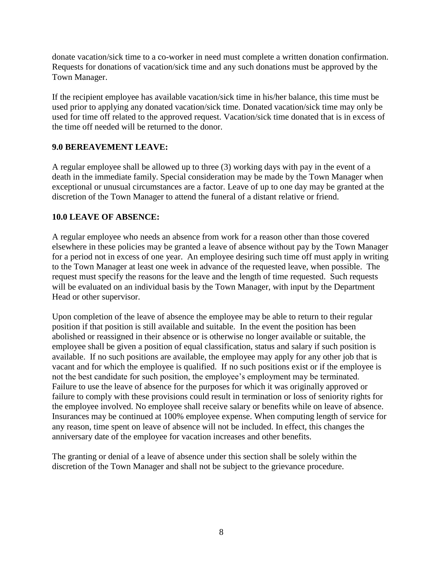donate vacation/sick time to a co-worker in need must complete a written donation confirmation. Requests for donations of vacation/sick time and any such donations must be approved by the Town Manager.

If the recipient employee has available vacation/sick time in his/her balance, this time must be used prior to applying any donated vacation/sick time. Donated vacation/sick time may only be used for time off related to the approved request. Vacation/sick time donated that is in excess of the time off needed will be returned to the donor.

# **9.0 BEREAVEMENT LEAVE:**

A regular employee shall be allowed up to three (3) working days with pay in the event of a death in the immediate family. Special consideration may be made by the Town Manager when exceptional or unusual circumstances are a factor. Leave of up to one day may be granted at the discretion of the Town Manager to attend the funeral of a distant relative or friend.

#### **10.0 LEAVE OF ABSENCE:**

A regular employee who needs an absence from work for a reason other than those covered elsewhere in these policies may be granted a leave of absence without pay by the Town Manager for a period not in excess of one year. An employee desiring such time off must apply in writing to the Town Manager at least one week in advance of the requested leave, when possible. The request must specify the reasons for the leave and the length of time requested. Such requests will be evaluated on an individual basis by the Town Manager, with input by the Department Head or other supervisor.

Upon completion of the leave of absence the employee may be able to return to their regular position if that position is still available and suitable. In the event the position has been abolished or reassigned in their absence or is otherwise no longer available or suitable, the employee shall be given a position of equal classification, status and salary if such position is available. If no such positions are available, the employee may apply for any other job that is vacant and for which the employee is qualified. If no such positions exist or if the employee is not the best candidate for such position, the employee's employment may be terminated. Failure to use the leave of absence for the purposes for which it was originally approved or failure to comply with these provisions could result in termination or loss of seniority rights for the employee involved. No employee shall receive salary or benefits while on leave of absence. Insurances may be continued at 100% employee expense. When computing length of service for any reason, time spent on leave of absence will not be included. In effect, this changes the anniversary date of the employee for vacation increases and other benefits.

The granting or denial of a leave of absence under this section shall be solely within the discretion of the Town Manager and shall not be subject to the grievance procedure.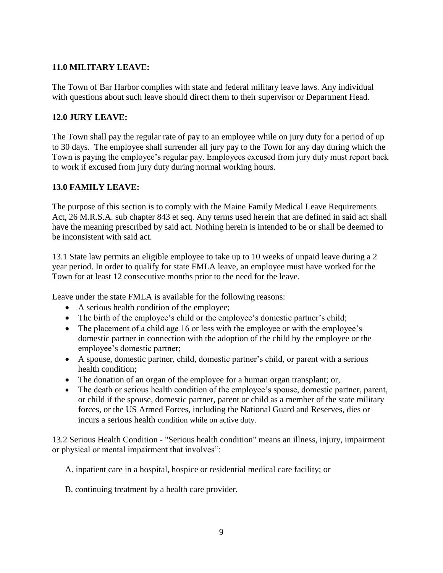# **11.0 MILITARY LEAVE:**

The Town of Bar Harbor complies with state and federal military leave laws. Any individual with questions about such leave should direct them to their supervisor or Department Head.

# **12.0 JURY LEAVE:**

The Town shall pay the regular rate of pay to an employee while on jury duty for a period of up to 30 days. The employee shall surrender all jury pay to the Town for any day during which the Town is paying the employee's regular pay. Employees excused from jury duty must report back to work if excused from jury duty during normal working hours.

# **13.0 FAMILY LEAVE:**

The purpose of this section is to comply with the Maine Family Medical Leave Requirements Act, 26 M.R.S.A. sub chapter 843 et seq. Any terms used herein that are defined in said act shall have the meaning prescribed by said act. Nothing herein is intended to be or shall be deemed to be inconsistent with said act.

13.1 State law permits an eligible employee to take up to 10 weeks of unpaid leave during a 2 year period. In order to qualify for state FMLA leave, an employee must have worked for the Town for at least 12 consecutive months prior to the need for the leave.

Leave under the state FMLA is available for the following reasons:

- A serious health condition of the employee;
- The birth of the employee's child or the employee's domestic partner's child;
- The placement of a child age 16 or less with the employee or with the employee's domestic partner in connection with the adoption of the child by the employee or the employee's domestic partner;
- A spouse, domestic partner, child, domestic partner's child, or parent with a serious health condition:
- The donation of an organ of the employee for a human organ transplant; or,
- The death or serious health condition of the employee's spouse, domestic partner, parent, or child if the spouse, domestic partner, parent or child as a member of the state military forces, or the US Armed Forces, including the National Guard and Reserves, dies or incurs a serious health condition while on active duty.

13.2 Serious Health Condition - "Serious health condition" means an illness, injury, impairment or physical or mental impairment that involves":

A. inpatient care in a hospital, hospice or residential medical care facility; or

B. continuing treatment by a health care provider.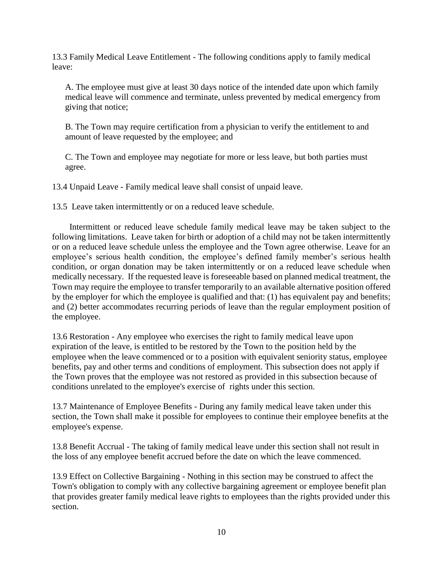13.3 Family Medical Leave Entitlement - The following conditions apply to family medical leave:

A. The employee must give at least 30 days notice of the intended date upon which family medical leave will commence and terminate, unless prevented by medical emergency from giving that notice;

B. The Town may require certification from a physician to verify the entitlement to and amount of leave requested by the employee; and

C. The Town and employee may negotiate for more or less leave, but both parties must agree.

13.4 Unpaid Leave - Family medical leave shall consist of unpaid leave.

13.5 Leave taken intermittently or on a reduced leave schedule.

Intermittent or reduced leave schedule family medical leave may be taken subject to the following limitations. Leave taken for birth or adoption of a child may not be taken intermittently or on a reduced leave schedule unless the employee and the Town agree otherwise. Leave for an employee's serious health condition, the employee's defined family member's serious health condition, or organ donation may be taken intermittently or on a reduced leave schedule when medically necessary. If the requested leave is foreseeable based on planned medical treatment, the Town may require the employee to transfer temporarily to an available alternative position offered by the employer for which the employee is qualified and that: (1) has equivalent pay and benefits; and (2) better accommodates recurring periods of leave than the regular employment position of the employee.

13.6 Restoration - Any employee who exercises the right to family medical leave upon expiration of the leave, is entitled to be restored by the Town to the position held by the employee when the leave commenced or to a position with equivalent seniority status, employee benefits, pay and other terms and conditions of employment. This subsection does not apply if the Town proves that the employee was not restored as provided in this subsection because of conditions unrelated to the employee's exercise of rights under this section.

13.7 Maintenance of Employee Benefits - During any family medical leave taken under this section, the Town shall make it possible for employees to continue their employee benefits at the employee's expense.

13.8 Benefit Accrual - The taking of family medical leave under this section shall not result in the loss of any employee benefit accrued before the date on which the leave commenced.

13.9 Effect on Collective Bargaining - Nothing in this section may be construed to affect the Town's obligation to comply with any collective bargaining agreement or employee benefit plan that provides greater family medical leave rights to employees than the rights provided under this section.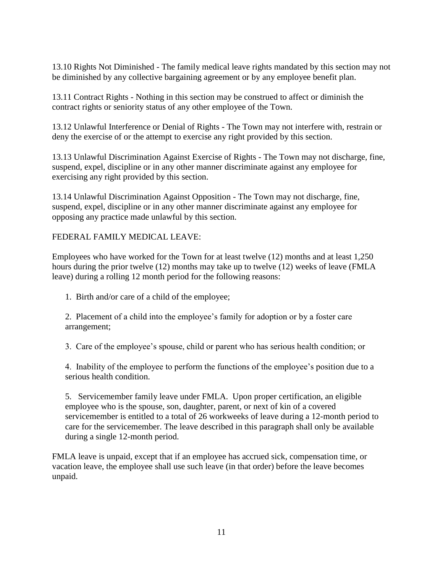13.10 Rights Not Diminished - The family medical leave rights mandated by this section may not be diminished by any collective bargaining agreement or by any employee benefit plan.

13.11 Contract Rights - Nothing in this section may be construed to affect or diminish the contract rights or seniority status of any other employee of the Town.

13.12 Unlawful Interference or Denial of Rights - The Town may not interfere with, restrain or deny the exercise of or the attempt to exercise any right provided by this section.

13.13 Unlawful Discrimination Against Exercise of Rights - The Town may not discharge, fine, suspend, expel, discipline or in any other manner discriminate against any employee for exercising any right provided by this section.

13.14 Unlawful Discrimination Against Opposition - The Town may not discharge, fine, suspend, expel, discipline or in any other manner discriminate against any employee for opposing any practice made unlawful by this section.

FEDERAL FAMILY MEDICAL LEAVE:

Employees who have worked for the Town for at least twelve (12) months and at least 1,250 hours during the prior twelve (12) months may take up to twelve (12) weeks of leave (FMLA leave) during a rolling 12 month period for the following reasons:

1. Birth and/or care of a child of the employee;

2. Placement of a child into the employee's family for adoption or by a foster care arrangement;

3. Care of the employee's spouse, child or parent who has serious health condition; or

4. Inability of the employee to perform the functions of the employee's position due to a serious health condition.

5. Servicemember family leave under FMLA. Upon proper certification, an eligible employee who is the spouse, son, daughter, parent, or next of kin of a covered servicemember is entitled to a total of 26 workweeks of leave during a 12-month period to care for the servicemember. The leave described in this paragraph shall only be available during a single 12-month period.

FMLA leave is unpaid, except that if an employee has accrued sick, compensation time, or vacation leave, the employee shall use such leave (in that order) before the leave becomes unpaid.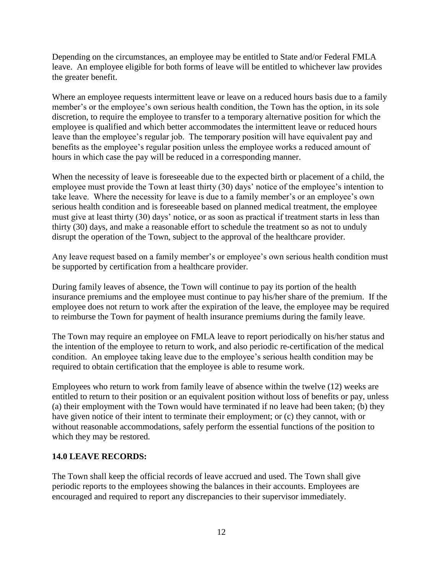Depending on the circumstances, an employee may be entitled to State and/or Federal FMLA leave. An employee eligible for both forms of leave will be entitled to whichever law provides the greater benefit.

Where an employee requests intermittent leave or leave on a reduced hours basis due to a family member's or the employee's own serious health condition, the Town has the option, in its sole discretion, to require the employee to transfer to a temporary alternative position for which the employee is qualified and which better accommodates the intermittent leave or reduced hours leave than the employee's regular job. The temporary position will have equivalent pay and benefits as the employee's regular position unless the employee works a reduced amount of hours in which case the pay will be reduced in a corresponding manner.

When the necessity of leave is foreseeable due to the expected birth or placement of a child, the employee must provide the Town at least thirty (30) days' notice of the employee's intention to take leave. Where the necessity for leave is due to a family member's or an employee's own serious health condition and is foreseeable based on planned medical treatment, the employee must give at least thirty (30) days' notice, or as soon as practical if treatment starts in less than thirty (30) days, and make a reasonable effort to schedule the treatment so as not to unduly disrupt the operation of the Town, subject to the approval of the healthcare provider.

Any leave request based on a family member's or employee's own serious health condition must be supported by certification from a healthcare provider.

During family leaves of absence, the Town will continue to pay its portion of the health insurance premiums and the employee must continue to pay his/her share of the premium. If the employee does not return to work after the expiration of the leave, the employee may be required to reimburse the Town for payment of health insurance premiums during the family leave.

The Town may require an employee on FMLA leave to report periodically on his/her status and the intention of the employee to return to work, and also periodic re-certification of the medical condition. An employee taking leave due to the employee's serious health condition may be required to obtain certification that the employee is able to resume work.

Employees who return to work from family leave of absence within the twelve (12) weeks are entitled to return to their position or an equivalent position without loss of benefits or pay, unless (a) their employment with the Town would have terminated if no leave had been taken; (b) they have given notice of their intent to terminate their employment; or (c) they cannot, with or without reasonable accommodations, safely perform the essential functions of the position to which they may be restored.

# **14.0 LEAVE RECORDS:**

The Town shall keep the official records of leave accrued and used. The Town shall give periodic reports to the employees showing the balances in their accounts. Employees are encouraged and required to report any discrepancies to their supervisor immediately.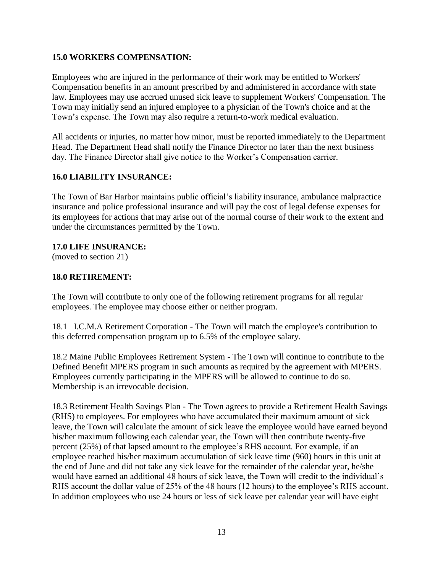### **15.0 WORKERS COMPENSATION:**

Employees who are injured in the performance of their work may be entitled to Workers' Compensation benefits in an amount prescribed by and administered in accordance with state law. Employees may use accrued unused sick leave to supplement Workers' Compensation. The Town may initially send an injured employee to a physician of the Town's choice and at the Town's expense. The Town may also require a return-to-work medical evaluation.

All accidents or injuries, no matter how minor, must be reported immediately to the Department Head. The Department Head shall notify the Finance Director no later than the next business day. The Finance Director shall give notice to the Worker's Compensation carrier.

# **16.0 LIABILITY INSURANCE:**

The Town of Bar Harbor maintains public official's liability insurance, ambulance malpractice insurance and police professional insurance and will pay the cost of legal defense expenses for its employees for actions that may arise out of the normal course of their work to the extent and under the circumstances permitted by the Town.

#### **17.0 LIFE INSURANCE:**

(moved to section 21)

#### **18.0 RETIREMENT:**

The Town will contribute to only one of the following retirement programs for all regular employees. The employee may choose either or neither program.

18.1 I.C.M.A Retirement Corporation - The Town will match the employee's contribution to this deferred compensation program up to 6.5% of the employee salary.

18.2 Maine Public Employees Retirement System - The Town will continue to contribute to the Defined Benefit MPERS program in such amounts as required by the agreement with MPERS. Employees currently participating in the MPERS will be allowed to continue to do so. Membership is an irrevocable decision.

18.3 Retirement Health Savings Plan - The Town agrees to provide a Retirement Health Savings (RHS) to employees. For employees who have accumulated their maximum amount of sick leave, the Town will calculate the amount of sick leave the employee would have earned beyond his/her maximum following each calendar year, the Town will then contribute twenty-five percent (25%) of that lapsed amount to the employee's RHS account. For example, if an employee reached his/her maximum accumulation of sick leave time (960) hours in this unit at the end of June and did not take any sick leave for the remainder of the calendar year, he/she would have earned an additional 48 hours of sick leave, the Town will credit to the individual's RHS account the dollar value of 25% of the 48 hours (12 hours) to the employee's RHS account. In addition employees who use 24 hours or less of sick leave per calendar year will have eight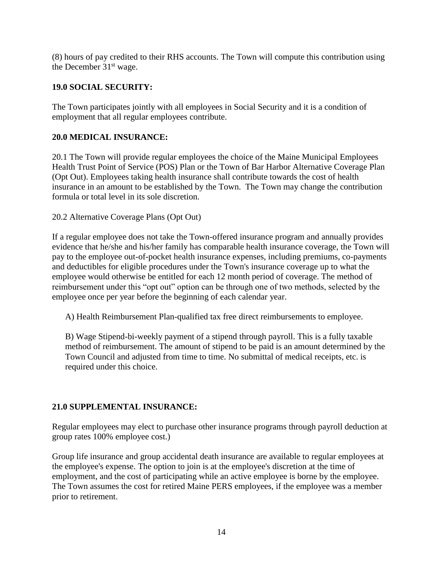(8) hours of pay credited to their RHS accounts. The Town will compute this contribution using the December  $31<sup>st</sup>$  wage.

# **19.0 SOCIAL SECURITY:**

The Town participates jointly with all employees in Social Security and it is a condition of employment that all regular employees contribute.

# **20.0 MEDICAL INSURANCE:**

20.1 The Town will provide regular employees the choice of the Maine Municipal Employees Health Trust Point of Service (POS) Plan or the Town of Bar Harbor Alternative Coverage Plan (Opt Out). Employees taking health insurance shall contribute towards the cost of health insurance in an amount to be established by the Town. The Town may change the contribution formula or total level in its sole discretion.

20.2 Alternative Coverage Plans (Opt Out)

If a regular employee does not take the Town-offered insurance program and annually provides evidence that he/she and his/her family has comparable health insurance coverage, the Town will pay to the employee out-of-pocket health insurance expenses, including premiums, co-payments and deductibles for eligible procedures under the Town's insurance coverage up to what the employee would otherwise be entitled for each 12 month period of coverage. The method of reimbursement under this "opt out" option can be through one of two methods, selected by the employee once per year before the beginning of each calendar year.

A) Health Reimbursement Plan-qualified tax free direct reimbursements to employee.

B) Wage Stipend-bi-weekly payment of a stipend through payroll. This is a fully taxable method of reimbursement. The amount of stipend to be paid is an amount determined by the Town Council and adjusted from time to time. No submittal of medical receipts, etc. is required under this choice.

# **21.0 SUPPLEMENTAL INSURANCE:**

Regular employees may elect to purchase other insurance programs through payroll deduction at group rates 100% employee cost.)

Group life insurance and group accidental death insurance are available to regular employees at the employee's expense. The option to join is at the employee's discretion at the time of employment, and the cost of participating while an active employee is borne by the employee. The Town assumes the cost for retired Maine PERS employees, if the employee was a member prior to retirement.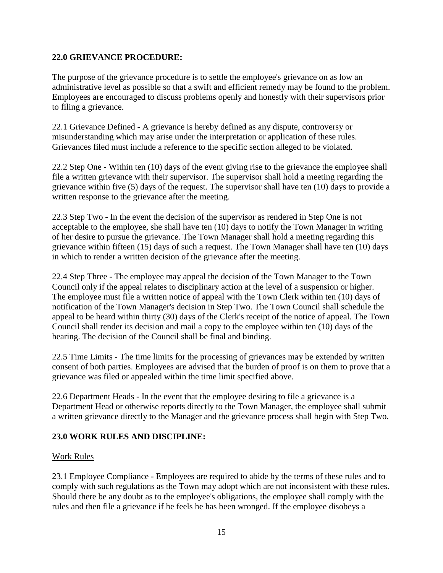### **22.0 GRIEVANCE PROCEDURE:**

The purpose of the grievance procedure is to settle the employee's grievance on as low an administrative level as possible so that a swift and efficient remedy may be found to the problem. Employees are encouraged to discuss problems openly and honestly with their supervisors prior to filing a grievance.

22.1 Grievance Defined - A grievance is hereby defined as any dispute, controversy or misunderstanding which may arise under the interpretation or application of these rules. Grievances filed must include a reference to the specific section alleged to be violated.

22.2 Step One - Within ten (10) days of the event giving rise to the grievance the employee shall file a written grievance with their supervisor. The supervisor shall hold a meeting regarding the grievance within five (5) days of the request. The supervisor shall have ten (10) days to provide a written response to the grievance after the meeting.

22.3 Step Two - In the event the decision of the supervisor as rendered in Step One is not acceptable to the employee, she shall have ten (10) days to notify the Town Manager in writing of her desire to pursue the grievance. The Town Manager shall hold a meeting regarding this grievance within fifteen (15) days of such a request. The Town Manager shall have ten (10) days in which to render a written decision of the grievance after the meeting.

22.4 Step Three - The employee may appeal the decision of the Town Manager to the Town Council only if the appeal relates to disciplinary action at the level of a suspension or higher. The employee must file a written notice of appeal with the Town Clerk within ten (10) days of notification of the Town Manager's decision in Step Two. The Town Council shall schedule the appeal to be heard within thirty (30) days of the Clerk's receipt of the notice of appeal. The Town Council shall render its decision and mail a copy to the employee within ten (10) days of the hearing. The decision of the Council shall be final and binding.

22.5 Time Limits - The time limits for the processing of grievances may be extended by written consent of both parties. Employees are advised that the burden of proof is on them to prove that a grievance was filed or appealed within the time limit specified above.

22.6 Department Heads - In the event that the employee desiring to file a grievance is a Department Head or otherwise reports directly to the Town Manager, the employee shall submit a written grievance directly to the Manager and the grievance process shall begin with Step Two.

# **23.0 WORK RULES AND DISCIPLINE:**

#### Work Rules

23.1 Employee Compliance - Employees are required to abide by the terms of these rules and to comply with such regulations as the Town may adopt which are not inconsistent with these rules. Should there be any doubt as to the employee's obligations, the employee shall comply with the rules and then file a grievance if he feels he has been wronged. If the employee disobeys a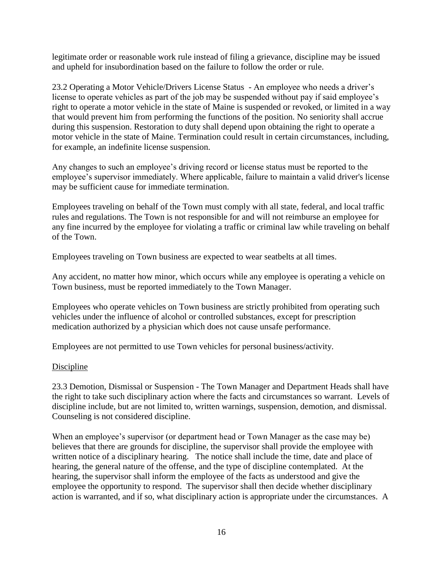legitimate order or reasonable work rule instead of filing a grievance, discipline may be issued and upheld for insubordination based on the failure to follow the order or rule.

23.2 Operating a Motor Vehicle/Drivers License Status - An employee who needs a driver's license to operate vehicles as part of the job may be suspended without pay if said employee's right to operate a motor vehicle in the state of Maine is suspended or revoked, or limited in a way that would prevent him from performing the functions of the position. No seniority shall accrue during this suspension. Restoration to duty shall depend upon obtaining the right to operate a motor vehicle in the state of Maine. Termination could result in certain circumstances, including, for example, an indefinite license suspension.

Any changes to such an employee's driving record or license status must be reported to the employee's supervisor immediately. Where applicable, failure to maintain a valid driver's license may be sufficient cause for immediate termination.

Employees traveling on behalf of the Town must comply with all state, federal, and local traffic rules and regulations. The Town is not responsible for and will not reimburse an employee for any fine incurred by the employee for violating a traffic or criminal law while traveling on behalf of the Town.

Employees traveling on Town business are expected to wear seatbelts at all times.

Any accident, no matter how minor, which occurs while any employee is operating a vehicle on Town business, must be reported immediately to the Town Manager.

Employees who operate vehicles on Town business are strictly prohibited from operating such vehicles under the influence of alcohol or controlled substances, except for prescription medication authorized by a physician which does not cause unsafe performance.

Employees are not permitted to use Town vehicles for personal business/activity.

# Discipline

23.3 Demotion, Dismissal or Suspension - The Town Manager and Department Heads shall have the right to take such disciplinary action where the facts and circumstances so warrant. Levels of discipline include, but are not limited to, written warnings, suspension, demotion, and dismissal. Counseling is not considered discipline.

When an employee's supervisor (or department head or Town Manager as the case may be) believes that there are grounds for discipline, the supervisor shall provide the employee with written notice of a disciplinary hearing. The notice shall include the time, date and place of hearing, the general nature of the offense, and the type of discipline contemplated. At the hearing, the supervisor shall inform the employee of the facts as understood and give the employee the opportunity to respond. The supervisor shall then decide whether disciplinary action is warranted, and if so, what disciplinary action is appropriate under the circumstances. A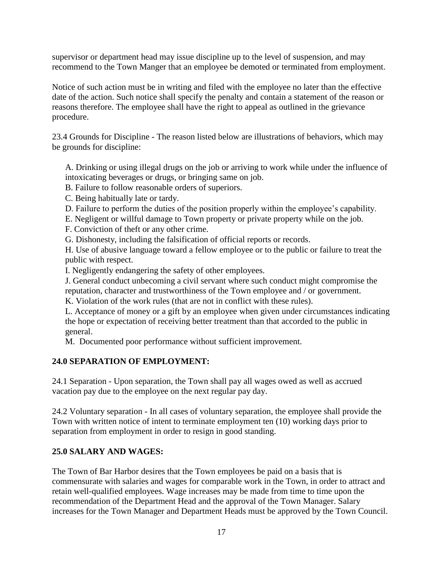supervisor or department head may issue discipline up to the level of suspension, and may recommend to the Town Manger that an employee be demoted or terminated from employment.

Notice of such action must be in writing and filed with the employee no later than the effective date of the action. Such notice shall specify the penalty and contain a statement of the reason or reasons therefore. The employee shall have the right to appeal as outlined in the grievance procedure.

23.4 Grounds for Discipline - The reason listed below are illustrations of behaviors, which may be grounds for discipline:

A. Drinking or using illegal drugs on the job or arriving to work while under the influence of intoxicating beverages or drugs, or bringing same on job.

B. Failure to follow reasonable orders of superiors.

C. Being habitually late or tardy.

D. Failure to perform the duties of the position properly within the employee's capability.

E. Negligent or willful damage to Town property or private property while on the job.

F. Conviction of theft or any other crime.

G. Dishonesty, including the falsification of official reports or records.

H. Use of abusive language toward a fellow employee or to the public or failure to treat the public with respect.

I. Negligently endangering the safety of other employees.

J. General conduct unbecoming a civil servant where such conduct might compromise the reputation, character and trustworthiness of the Town employee and / or government.

K. Violation of the work rules (that are not in conflict with these rules).

L. Acceptance of money or a gift by an employee when given under circumstances indicating the hope or expectation of receiving better treatment than that accorded to the public in general.

M. Documented poor performance without sufficient improvement.

# **24.0 SEPARATION OF EMPLOYMENT:**

24.1 Separation - Upon separation, the Town shall pay all wages owed as well as accrued vacation pay due to the employee on the next regular pay day.

24.2 Voluntary separation - In all cases of voluntary separation, the employee shall provide the Town with written notice of intent to terminate employment ten (10) working days prior to separation from employment in order to resign in good standing.

# **25.0 SALARY AND WAGES:**

The Town of Bar Harbor desires that the Town employees be paid on a basis that is commensurate with salaries and wages for comparable work in the Town, in order to attract and retain well-qualified employees. Wage increases may be made from time to time upon the recommendation of the Department Head and the approval of the Town Manager. Salary increases for the Town Manager and Department Heads must be approved by the Town Council.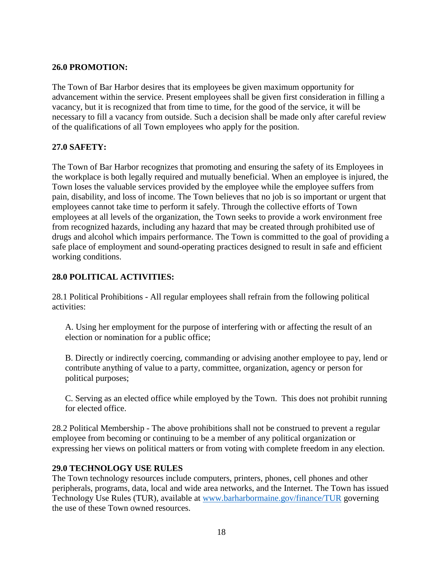# **26.0 PROMOTION:**

The Town of Bar Harbor desires that its employees be given maximum opportunity for advancement within the service. Present employees shall be given first consideration in filling a vacancy, but it is recognized that from time to time, for the good of the service, it will be necessary to fill a vacancy from outside. Such a decision shall be made only after careful review of the qualifications of all Town employees who apply for the position.

# **27.0 SAFETY:**

The Town of Bar Harbor recognizes that promoting and ensuring the safety of its Employees in the workplace is both legally required and mutually beneficial. When an employee is injured, the Town loses the valuable services provided by the employee while the employee suffers from pain, disability, and loss of income. The Town believes that no job is so important or urgent that employees cannot take time to perform it safely. Through the collective efforts of Town employees at all levels of the organization, the Town seeks to provide a work environment free from recognized hazards, including any hazard that may be created through prohibited use of drugs and alcohol which impairs performance. The Town is committed to the goal of providing a safe place of employment and sound-operating practices designed to result in safe and efficient working conditions.

#### **28.0 POLITICAL ACTIVITIES:**

28.1 Political Prohibitions - All regular employees shall refrain from the following political activities:

A. Using her employment for the purpose of interfering with or affecting the result of an election or nomination for a public office;

B. Directly or indirectly coercing, commanding or advising another employee to pay, lend or contribute anything of value to a party, committee, organization, agency or person for political purposes;

C. Serving as an elected office while employed by the Town. This does not prohibit running for elected office.

28.2 Political Membership - The above prohibitions shall not be construed to prevent a regular employee from becoming or continuing to be a member of any political organization or expressing her views on political matters or from voting with complete freedom in any election.

#### **29.0 TECHNOLOGY USE RULES**

The Town technology resources include computers, printers, phones, cell phones and other peripherals, programs, data, local and wide area networks, and the Internet. The Town has issued Technology Use Rules (TUR), available at [www.barharbormaine.gov/finance/TUR](http://www.barharbormaine.gov/finance/TUR) governing the use of these Town owned resources.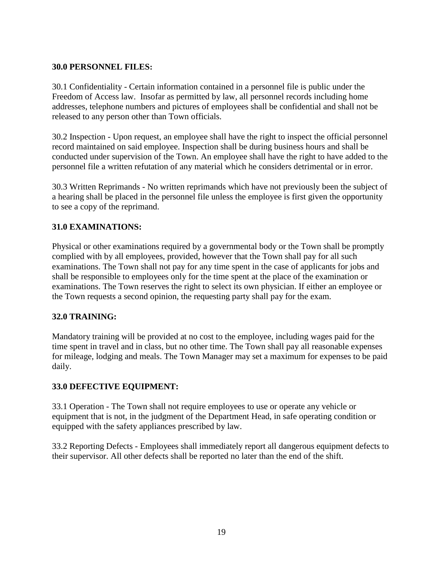#### **30.0 PERSONNEL FILES:**

30.1 Confidentiality - Certain information contained in a personnel file is public under the Freedom of Access law. Insofar as permitted by law, all personnel records including home addresses, telephone numbers and pictures of employees shall be confidential and shall not be released to any person other than Town officials.

30.2 Inspection - Upon request, an employee shall have the right to inspect the official personnel record maintained on said employee. Inspection shall be during business hours and shall be conducted under supervision of the Town. An employee shall have the right to have added to the personnel file a written refutation of any material which he considers detrimental or in error.

30.3 Written Reprimands - No written reprimands which have not previously been the subject of a hearing shall be placed in the personnel file unless the employee is first given the opportunity to see a copy of the reprimand.

# **31.0 EXAMINATIONS:**

Physical or other examinations required by a governmental body or the Town shall be promptly complied with by all employees, provided, however that the Town shall pay for all such examinations. The Town shall not pay for any time spent in the case of applicants for jobs and shall be responsible to employees only for the time spent at the place of the examination or examinations. The Town reserves the right to select its own physician. If either an employee or the Town requests a second opinion, the requesting party shall pay for the exam.

#### **32.0 TRAINING:**

Mandatory training will be provided at no cost to the employee, including wages paid for the time spent in travel and in class, but no other time. The Town shall pay all reasonable expenses for mileage, lodging and meals. The Town Manager may set a maximum for expenses to be paid daily.

# **33.0 DEFECTIVE EQUIPMENT:**

33.1 Operation - The Town shall not require employees to use or operate any vehicle or equipment that is not, in the judgment of the Department Head, in safe operating condition or equipped with the safety appliances prescribed by law.

33.2 Reporting Defects - Employees shall immediately report all dangerous equipment defects to their supervisor. All other defects shall be reported no later than the end of the shift.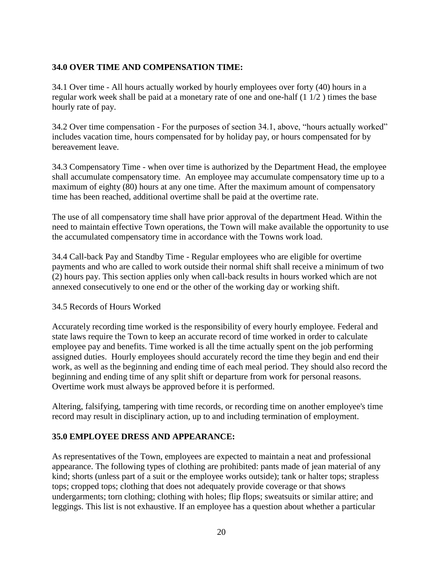# **34.0 OVER TIME AND COMPENSATION TIME:**

34.1 Over time - All hours actually worked by hourly employees over forty (40) hours in a regular work week shall be paid at a monetary rate of one and one-half (1 1/2 ) times the base hourly rate of pay.

34.2 Over time compensation - For the purposes of section 34.1, above, "hours actually worked" includes vacation time, hours compensated for by holiday pay, or hours compensated for by bereavement leave.

34.3 Compensatory Time - when over time is authorized by the Department Head, the employee shall accumulate compensatory time. An employee may accumulate compensatory time up to a maximum of eighty (80) hours at any one time. After the maximum amount of compensatory time has been reached, additional overtime shall be paid at the overtime rate.

The use of all compensatory time shall have prior approval of the department Head. Within the need to maintain effective Town operations, the Town will make available the opportunity to use the accumulated compensatory time in accordance with the Towns work load.

34.4 Call-back Pay and Standby Time - Regular employees who are eligible for overtime payments and who are called to work outside their normal shift shall receive a minimum of two (2) hours pay. This section applies only when call-back results in hours worked which are not annexed consecutively to one end or the other of the working day or working shift.

#### 34.5 Records of Hours Worked

Accurately recording time worked is the responsibility of every hourly employee. Federal and state laws require the Town to keep an accurate record of time worked in order to calculate employee pay and benefits. Time worked is all the time actually spent on the job performing assigned duties. Hourly employees should accurately record the time they begin and end their work, as well as the beginning and ending time of each meal period. They should also record the beginning and ending time of any split shift or departure from work for personal reasons. Overtime work must always be approved before it is performed.

Altering, falsifying, tampering with time records, or recording time on another employee's time record may result in disciplinary action, up to and including termination of employment.

# **35.0 EMPLOYEE DRESS AND APPEARANCE:**

As representatives of the Town, employees are expected to maintain a neat and professional appearance. The following types of clothing are prohibited: pants made of jean material of any kind; shorts (unless part of a suit or the employee works outside); tank or halter tops; strapless tops; cropped tops; clothing that does not adequately provide coverage or that shows undergarments; torn clothing; clothing with holes; flip flops; sweatsuits or similar attire; and leggings. This list is not exhaustive. If an employee has a question about whether a particular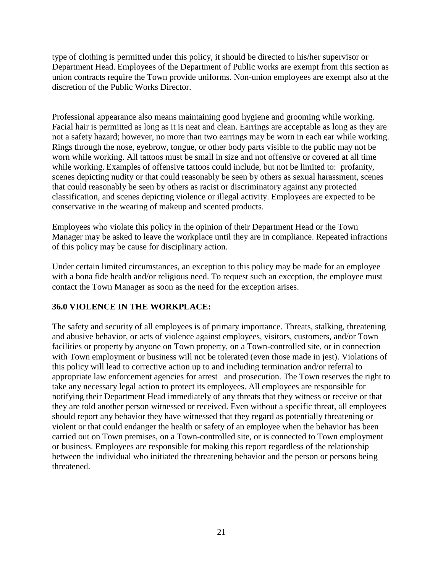type of clothing is permitted under this policy, it should be directed to his/her supervisor or Department Head. Employees of the Department of Public works are exempt from this section as union contracts require the Town provide uniforms. Non-union employees are exempt also at the discretion of the Public Works Director.

Professional appearance also means maintaining good hygiene and grooming while working. Facial hair is permitted as long as it is neat and clean. Earrings are acceptable as long as they are not a safety hazard; however, no more than two earrings may be worn in each ear while working. Rings through the nose, eyebrow, tongue, or other body parts visible to the public may not be worn while working. All tattoos must be small in size and not offensive or covered at all time while working. Examples of offensive tattoos could include, but not be limited to: profanity, scenes depicting nudity or that could reasonably be seen by others as sexual harassment, scenes that could reasonably be seen by others as racist or discriminatory against any protected classification, and scenes depicting violence or illegal activity. Employees are expected to be conservative in the wearing of makeup and scented products.

Employees who violate this policy in the opinion of their Department Head or the Town Manager may be asked to leave the workplace until they are in compliance. Repeated infractions of this policy may be cause for disciplinary action.

Under certain limited circumstances, an exception to this policy may be made for an employee with a bona fide health and/or religious need. To request such an exception, the employee must contact the Town Manager as soon as the need for the exception arises.

# **36.0 VIOLENCE IN THE WORKPLACE:**

The safety and security of all employees is of primary importance. Threats, stalking, threatening and abusive behavior, or acts of violence against employees, visitors, customers, and/or Town facilities or property by anyone on Town property, on a Town-controlled site, or in connection with Town employment or business will not be tolerated (even those made in jest). Violations of this policy will lead to corrective action up to and including termination and/or referral to appropriate law enforcement agencies for arrest and prosecution. The Town reserves the right to take any necessary legal action to protect its employees. All employees are responsible for notifying their Department Head immediately of any threats that they witness or receive or that they are told another person witnessed or received. Even without a specific threat, all employees should report any behavior they have witnessed that they regard as potentially threatening or violent or that could endanger the health or safety of an employee when the behavior has been carried out on Town premises, on a Town-controlled site, or is connected to Town employment or business. Employees are responsible for making this report regardless of the relationship between the individual who initiated the threatening behavior and the person or persons being threatened.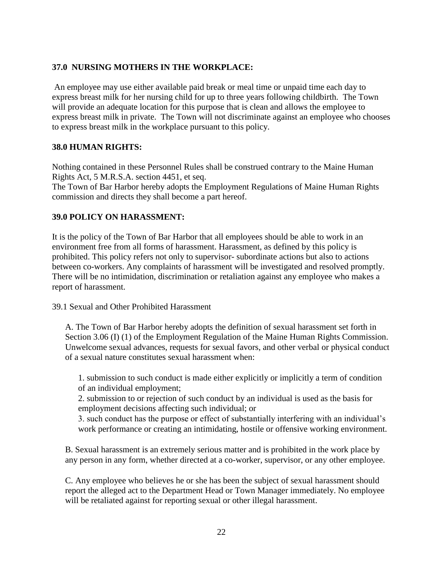### **37.0 NURSING MOTHERS IN THE WORKPLACE:**

An employee may use either available paid break or meal time or unpaid time each day to express breast milk for her nursing child for up to three years following childbirth. The Town will provide an adequate location for this purpose that is clean and allows the employee to express breast milk in private. The Town will not discriminate against an employee who chooses to express breast milk in the workplace pursuant to this policy.

#### **38.0 HUMAN RIGHTS:**

Nothing contained in these Personnel Rules shall be construed contrary to the Maine Human Rights Act, 5 M.R.S.A. section 4451, et seq.

The Town of Bar Harbor hereby adopts the Employment Regulations of Maine Human Rights commission and directs they shall become a part hereof.

#### **39.0 POLICY ON HARASSMENT:**

It is the policy of the Town of Bar Harbor that all employees should be able to work in an environment free from all forms of harassment. Harassment, as defined by this policy is prohibited. This policy refers not only to supervisor- subordinate actions but also to actions between co-workers. Any complaints of harassment will be investigated and resolved promptly. There will be no intimidation, discrimination or retaliation against any employee who makes a report of harassment.

39.1 Sexual and Other Prohibited Harassment

A. The Town of Bar Harbor hereby adopts the definition of sexual harassment set forth in Section 3.06 (I) (1) of the Employment Regulation of the Maine Human Rights Commission. Unwelcome sexual advances, requests for sexual favors, and other verbal or physical conduct of a sexual nature constitutes sexual harassment when:

1. submission to such conduct is made either explicitly or implicitly a term of condition of an individual employment;

2. submission to or rejection of such conduct by an individual is used as the basis for employment decisions affecting such individual; or

3. such conduct has the purpose or effect of substantially interfering with an individual's work performance or creating an intimidating, hostile or offensive working environment.

B. Sexual harassment is an extremely serious matter and is prohibited in the work place by any person in any form, whether directed at a co-worker, supervisor, or any other employee.

C. Any employee who believes he or she has been the subject of sexual harassment should report the alleged act to the Department Head or Town Manager immediately. No employee will be retaliated against for reporting sexual or other illegal harassment.